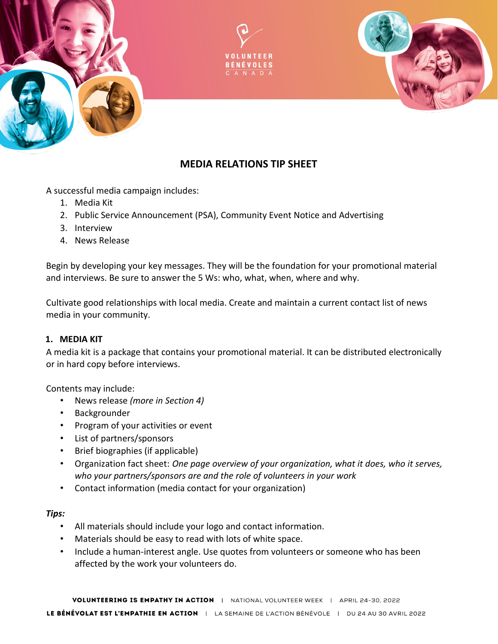





# **MEDIA RELATIONS TIP SHEET**

A successful media campaign includes:

- 1. Media Kit
- 2. Public Service Announcement (PSA), Community Event Notice and Advertising
- 3. Interview
- 4. News Release

Begin by developing your key messages. They will be the foundation for your promotional material and interviews. Be sure to answer the 5 Ws: who, what, when, where and why.

Cultivate good relationships with local media. Create and maintain a current contact list of news media in your community.

### **1. MEDIA KIT**

A media kit is a package that contains your promotional material. It can be distributed electronically or in hard copy before interviews.

Contents may include:

- News release *(more in Section 4)*
- Backgrounder
- Program of your activities or event
- List of partners/sponsors
- Brief biographies (if applicable)
- Organization fact sheet: *One page overview of your organization, what it does, who it serves, who your partners/sponsors are and the role of volunteers in your work*
- Contact information (media contact for your organization)

### *Tips:*

- All materials should include your logo and contact information.
- Materials should be easy to read with lots of white space.
- Include a human-interest angle. Use quotes from volunteers or someone who has been affected by the work your volunteers do.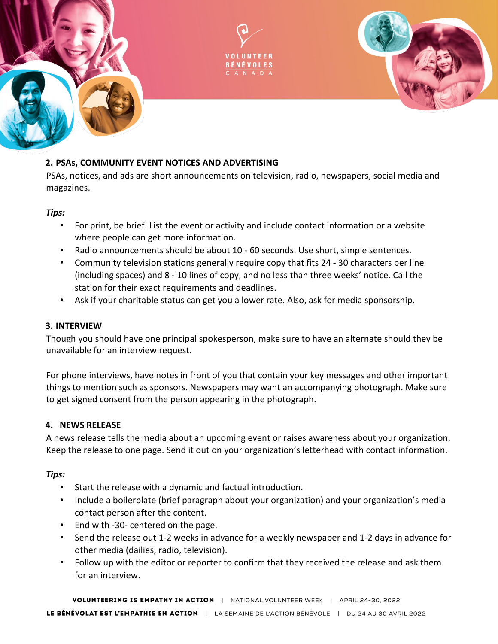



#### **2. PSAs, COMMUNITY EVENT NOTICES AND ADVERTISING**

PSAs, notices, and ads are short announcements on television, radio, newspapers, social media and magazines.

#### *Tips:*

- For print, be brief. List the event or activity and include contact information or a website where people can get more information.
- Radio announcements should be about 10 60 seconds. Use short, simple sentences.
- Community television stations generally require copy that fits 24 30 characters per line (including spaces) and 8 - 10 lines of copy, and no less than three weeks' notice. Call the station for their exact requirements and deadlines.
- Ask if your charitable status can get you a lower rate. Also, ask for media sponsorship.

#### **3. INTERVIEW**

Though you should have one principal spokesperson, make sure to have an alternate should they be unavailable for an interview request.

For phone interviews, have notes in front of you that contain your key messages and other important things to mention such as sponsors. Newspapers may want an accompanying photograph. Make sure to get signed consent from the person appearing in the photograph.

#### **4. NEWS RELEASE**

A news release tells the media about an upcoming event or raises awareness about your organization. Keep the release to one page. Send it out on your organization's letterhead with contact information.

#### *Tips:*

- Start the release with a dynamic and factual introduction.
- Include a boilerplate (brief paragraph about your organization) and your organization's media contact person after the content.
- End with -30- centered on the page.
- Send the release out 1-2 weeks in advance for a weekly newspaper and 1-2 days in advance for other media (dailies, radio, television).
- Follow up with the editor or reporter to confirm that they received the release and ask them for an interview.